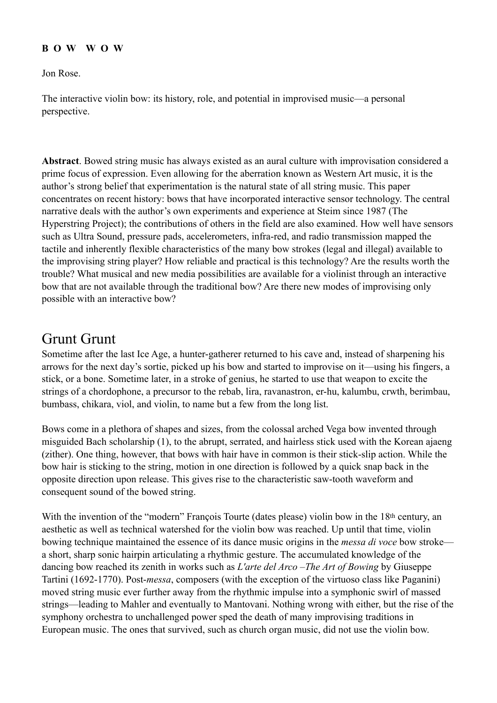#### **B O W W O W**

Jon Rose.

The interactive violin bow: its history, role, and potential in improvised music—a personal perspective.

**Abstract**. Bowed string music has always existed as an aural culture with improvisation considered a prime focus of expression. Even allowing for the aberration known as Western Art music, it is the author's strong belief that experimentation is the natural state of all string music. This paper concentrates on recent history: bows that have incorporated interactive sensor technology. The central narrative deals with the author's own experiments and experience at Steim since 1987 (The Hyperstring Project); the contributions of others in the field are also examined. How well have sensors such as Ultra Sound, pressure pads, accelerometers, infra-red, and radio transmission mapped the tactile and inherently flexible characteristics of the many bow strokes (legal and illegal) available to the improvising string player? How reliable and practical is this technology? Are the results worth the trouble? What musical and new media possibilities are available for a violinist through an interactive bow that are not available through the traditional bow? Are there new modes of improvising only possible with an interactive bow?

#### Grunt Grunt

Sometime after the last Ice Age, a hunter-gatherer returned to his cave and, instead of sharpening his arrows for the next day's sortie, picked up his bow and started to improvise on it—using his fingers, a stick, or a bone. Sometime later, in a stroke of genius, he started to use that weapon to excite the strings of a chordophone, a precursor to the rebab, lira, ravanastron, er-hu, kalumbu, crwth, berimbau, bumbass, chikara, viol, and violin, to name but a few from the long list.

Bows come in a plethora of shapes and sizes, from the colossal arched Vega bow invented through misguided Bach scholarship (1), to the abrupt, serrated, and hairless stick used with the Korean ajaeng (zither). One thing, however, that bows with hair have in common is their stick-slip action. While the bow hair is sticking to the string, motion in one direction is followed by a quick snap back in the opposite direction upon release. This gives rise to the characteristic saw-tooth waveform and consequent sound of the bowed string.

With the invention of the "modern" François Tourte (dates please) violin bow in the 18<sup>th</sup> century, an aesthetic as well as technical watershed for the violin bow was reached. Up until that time, violin bowing technique maintained the essence of its dance music origins in the *messa di voce* bow stroke a short, sharp sonic hairpin articulating a rhythmic gesture. The accumulated knowledge of the dancing bow reached its zenith in works such as *L'arte del Arco* –*The Art of Bowing* by Giuseppe Tartini (1692-1770). Post-*messa*, composers (with the exception of the virtuoso class like Paganini) moved string music ever further away from the rhythmic impulse into a symphonic swirl of massed strings—leading to Mahler and eventually to Mantovani. Nothing wrong with either, but the rise of the symphony orchestra to unchallenged power sped the death of many improvising traditions in European music. The ones that survived, such as church organ music, did not use the violin bow.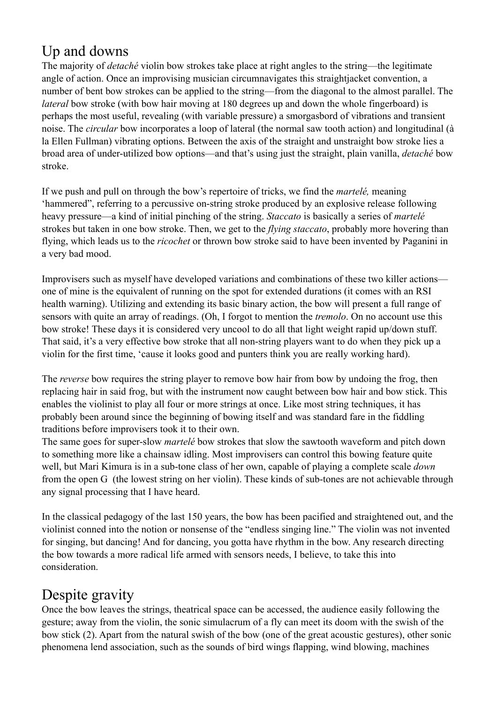## Up and downs

The majority of *detaché* violin bow strokes take place at right angles to the string—the legitimate angle of action. Once an improvising musician circumnavigates this straightjacket convention, a number of bent bow strokes can be applied to the string—from the diagonal to the almost parallel. The *lateral* bow stroke (with bow hair moving at 180 degrees up and down the whole fingerboard) is perhaps the most useful, revealing (with variable pressure) a smorgasbord of vibrations and transient noise. The *circular* bow incorporates a loop of lateral (the normal saw tooth action) and longitudinal (à la Ellen Fullman) vibrating options. Between the axis of the straight and unstraight bow stroke lies a broad area of under-utilized bow options—and that's using just the straight, plain vanilla, *detaché* bow stroke.

If we push and pull on through the bow's repertoire of tricks, we find the *martelé,* meaning 'hammered", referring to a percussive on-string stroke produced by an explosive release following heavy pressure—a kind of initial pinching of the string. *Staccato* is basically a series of *martelé* strokes but taken in one bow stroke. Then, we get to the *flying staccato*, probably more hovering than flying, which leads us to the *ricochet* or thrown bow stroke said to have been invented by Paganini in a very bad mood.

Improvisers such as myself have developed variations and combinations of these two killer actions one of mine is the equivalent of running on the spot for extended durations (it comes with an RSI health warning). Utilizing and extending its basic binary action, the bow will present a full range of sensors with quite an array of readings. (Oh, I forgot to mention the *tremolo*. On no account use this bow stroke! These days it is considered very uncool to do all that light weight rapid up/down stuff. That said, it's a very effective bow stroke that all non-string players want to do when they pick up a violin for the first time, 'cause it looks good and punters think you are really working hard).

The *reverse* bow requires the string player to remove bow hair from bow by undoing the frog, then replacing hair in said frog, but with the instrument now caught between bow hair and bow stick. This enables the violinist to play all four or more strings at once. Like most string techniques, it has probably been around since the beginning of bowing itself and was standard fare in the fiddling traditions before improvisers took it to their own.

The same goes for super-slow *martelé* bow strokes that slow the sawtooth waveform and pitch down to something more like a chainsaw idling. Most improvisers can control this bowing feature quite well, but Mari Kimura is in a sub-tone class of her own, capable of playing a complete scale *down* from the open G (the lowest string on her violin). These kinds of sub-tones are not achievable through any signal processing that I have heard.

In the classical pedagogy of the last 150 years, the bow has been pacified and straightened out, and the violinist conned into the notion or nonsense of the "endless singing line." The violin was not invented for singing, but dancing! And for dancing, you gotta have rhythm in the bow. Any research directing the bow towards a more radical life armed with sensors needs, I believe, to take this into consideration.

## Despite gravity

Once the bow leaves the strings, theatrical space can be accessed, the audience easily following the gesture; away from the violin, the sonic simulacrum of a fly can meet its doom with the swish of the bow stick (2). Apart from the natural swish of the bow (one of the great acoustic gestures), other sonic phenomena lend association, such as the sounds of bird wings flapping, wind blowing, machines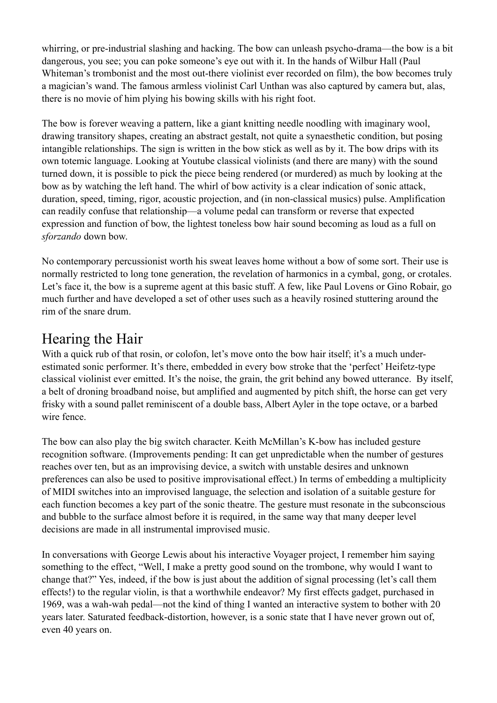whirring, or pre-industrial slashing and hacking. The bow can unleash psycho-drama—the bow is a bit dangerous, you see; you can poke someone's eye out with it. In the hands of Wilbur Hall (Paul Whiteman's trombonist and the most out-there violinist ever recorded on film), the bow becomes truly a magician's wand. The famous armless violinist Carl Unthan was also captured by camera but, alas, there is no movie of him plying his bowing skills with his right foot.

The bow is forever weaving a pattern, like a giant knitting needle noodling with imaginary wool, drawing transitory shapes, creating an abstract gestalt, not quite a synaesthetic condition, but posing intangible relationships. The sign is written in the bow stick as well as by it. The bow drips with its own totemic language. Looking at Youtube classical violinists (and there are many) with the sound turned down, it is possible to pick the piece being rendered (or murdered) as much by looking at the bow as by watching the left hand. The whirl of bow activity is a clear indication of sonic attack, duration, speed, timing, rigor, acoustic projection, and (in non-classical musics) pulse. Amplification can readily confuse that relationship—a volume pedal can transform or reverse that expected expression and function of bow, the lightest toneless bow hair sound becoming as loud as a full on *sforzando* down bow.

No contemporary percussionist worth his sweat leaves home without a bow of some sort. Their use is normally restricted to long tone generation, the revelation of harmonics in a cymbal, gong, or crotales. Let's face it, the bow is a supreme agent at this basic stuff. A few, like Paul Lovens or Gino Robair, go much further and have developed a set of other uses such as a heavily rosined stuttering around the rim of the snare drum.

### Hearing the Hair

With a quick rub of that rosin, or colofon, let's move onto the bow hair itself; it's a much underestimated sonic performer. It's there, embedded in every bow stroke that the 'perfect' Heifetz-type classical violinist ever emitted. It's the noise, the grain, the grit behind any bowed utterance. By itself, a belt of droning broadband noise, but amplified and augmented by pitch shift, the horse can get very frisky with a sound pallet reminiscent of a double bass, Albert Ayler in the tope octave, or a barbed wire fence.

The bow can also play the big switch character. Keith McMillan's K-bow has included gesture recognition software. (Improvements pending: It can get unpredictable when the number of gestures reaches over ten, but as an improvising device, a switch with unstable desires and unknown preferences can also be used to positive improvisational effect.) In terms of embedding a multiplicity of MIDI switches into an improvised language, the selection and isolation of a suitable gesture for each function becomes a key part of the sonic theatre. The gesture must resonate in the subconscious and bubble to the surface almost before it is required, in the same way that many deeper level decisions are made in all instrumental improvised music.

In conversations with George Lewis about his interactive Voyager project, I remember him saying something to the effect, "Well, I make a pretty good sound on the trombone, why would I want to change that?" Yes, indeed, if the bow is just about the addition of signal processing (let's call them effects!) to the regular violin, is that a worthwhile endeavor? My first effects gadget, purchased in 1969, was a wah-wah pedal—not the kind of thing I wanted an interactive system to bother with 20 years later. Saturated feedback-distortion, however, is a sonic state that I have never grown out of, even 40 years on.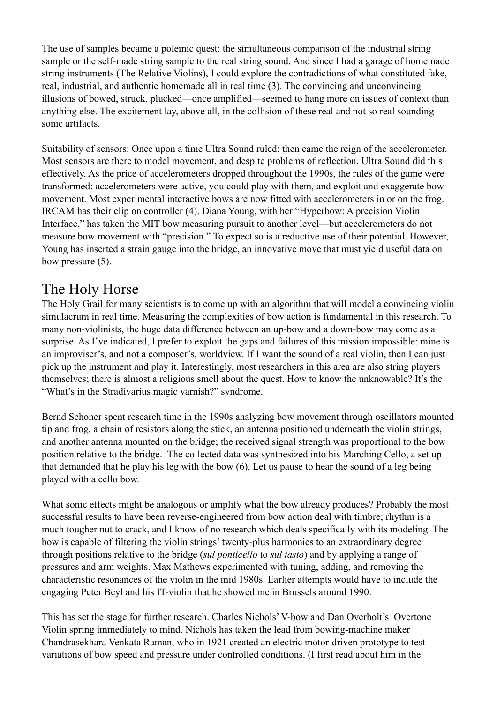The use of samples became a polemic quest: the simultaneous comparison of the industrial string sample or the self-made string sample to the real string sound. And since I had a garage of homemade string instruments (The Relative Violins), I could explore the contradictions of what constituted fake, real, industrial, and authentic homemade all in real time (3). The convincing and unconvincing illusions of bowed, struck, plucked—once amplified—seemed to hang more on issues of context than anything else. The excitement lay, above all, in the collision of these real and not so real sounding sonic artifacts.

Suitability of sensors: Once upon a time Ultra Sound ruled; then came the reign of the accelerometer. Most sensors are there to model movement, and despite problems of reflection, Ultra Sound did this effectively. As the price of accelerometers dropped throughout the 1990s, the rules of the game were transformed: accelerometers were active, you could play with them, and exploit and exaggerate bow movement. Most experimental interactive bows are now fitted with accelerometers in or on the frog. IRCAM has their clip on controller (4). Diana Young, with her "Hyperbow: A precision Violin Interface," has taken the MIT bow measuring pursuit to another level—but accelerometers do not measure bow movement with "precision." To expect so is a reductive use of their potential. However, Young has inserted a strain gauge into the bridge, an innovative move that must yield useful data on bow pressure (5).

## The Holy Horse

The Holy Grail for many scientists is to come up with an algorithm that will model a convincing violin simulacrum in real time. Measuring the complexities of bow action is fundamental in this research. To many non-violinists, the huge data difference between an up-bow and a down-bow may come as a surprise. As I've indicated, I prefer to exploit the gaps and failures of this mission impossible: mine is an improviser's, and not a composer's, worldview. If I want the sound of a real violin, then I can just pick up the instrument and play it. Interestingly, most researchers in this area are also string players themselves; there is almost a religious smell about the quest. How to know the unknowable? It's the "What's in the Stradivarius magic varnish?" syndrome.

Bernd Schoner spent research time in the 1990s analyzing bow movement through oscillators mounted tip and frog, a chain of resistors along the stick, an antenna positioned underneath the violin strings, and another antenna mounted on the bridge; the received signal strength was proportional to the bow position relative to the bridge. The collected data was synthesized into his Marching Cello, a set up that demanded that he play his leg with the bow (6). Let us pause to hear the sound of a leg being played with a cello bow.

What sonic effects might be analogous or amplify what the bow already produces? Probably the most successful results to have been reverse-engineered from bow action deal with timbre; rhythm is a much tougher nut to crack, and I know of no research which deals specifically with its modeling. The bow is capable of filtering the violin strings' twenty-plus harmonics to an extraordinary degree through positions relative to the bridge (*sul ponticello* to *sul tasto*) and by applying a range of pressures and arm weights. Max Mathews experimented with tuning, adding, and removing the characteristic resonances of the violin in the mid 1980s. Earlier attempts would have to include the engaging Peter Beyl and his IT-violin that he showed me in Brussels around 1990.

This has set the stage for further research. Charles Nichols' V-bow and Dan Overholt's Overtone Violin spring immediately to mind. Nichols has taken the lead from bowing-machine maker Chandrasekhara Venkata Raman, who in 1921 created an electric motor-driven prototype to test variations of bow speed and pressure under controlled conditions. (I first read about him in the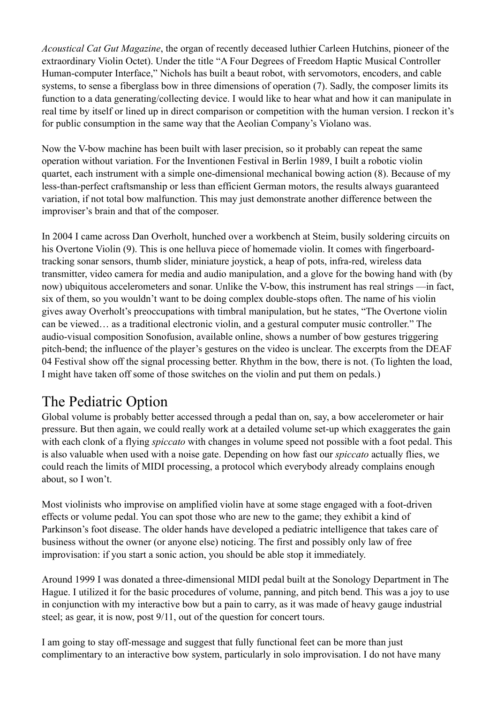*Acoustical Cat Gut Magazine*, the organ of recently deceased luthier Carleen Hutchins, pioneer of the extraordinary Violin Octet). Under the title "A Four Degrees of Freedom Haptic Musical Controller Human-computer Interface," Nichols has built a beaut robot, with servomotors, encoders, and cable systems, to sense a fiberglass bow in three dimensions of operation (7). Sadly, the composer limits its function to a data generating/collecting device. I would like to hear what and how it can manipulate in real time by itself or lined up in direct comparison or competition with the human version. I reckon it's for public consumption in the same way that the Aeolian Company's Violano was.

Now the V-bow machine has been built with laser precision, so it probably can repeat the same operation without variation. For the Inventionen Festival in Berlin 1989, I built a robotic violin quartet, each instrument with a simple one-dimensional mechanical bowing action (8). Because of my less-than-perfect craftsmanship or less than efficient German motors, the results always guaranteed variation, if not total bow malfunction. This may just demonstrate another difference between the improviser's brain and that of the composer.

In 2004 I came across Dan Overholt, hunched over a workbench at Steim, busily soldering circuits on his Overtone Violin (9). This is one helluva piece of homemade violin. It comes with fingerboardtracking sonar sensors, thumb slider, miniature joystick, a heap of pots, infra-red, wireless data transmitter, video camera for media and audio manipulation, and a glove for the bowing hand with (by now) ubiquitous accelerometers and sonar. Unlike the V-bow, this instrument has real strings —in fact, six of them, so you wouldn't want to be doing complex double-stops often. The name of his violin gives away Overholt's preoccupations with timbral manipulation, but he states, "The Overtone violin can be viewed… as a traditional electronic violin, and a gestural computer music controller." The audio-visual composition Sonofusion, available online, shows a number of bow gestures triggering pitch-bend; the influence of the player's gestures on the video is unclear. The excerpts from the DEAF 04 Festival show off the signal processing better. Rhythm in the bow, there is not. (To lighten the load, I might have taken off some of those switches on the violin and put them on pedals.)

## The Pediatric Option

Global volume is probably better accessed through a pedal than on, say, a bow accelerometer or hair pressure. But then again, we could really work at a detailed volume set-up which exaggerates the gain with each clonk of a flying *spiccato* with changes in volume speed not possible with a foot pedal. This is also valuable when used with a noise gate. Depending on how fast our *spiccato* actually flies, we could reach the limits of MIDI processing, a protocol which everybody already complains enough about, so I won't.

Most violinists who improvise on amplified violin have at some stage engaged with a foot-driven effects or volume pedal. You can spot those who are new to the game; they exhibit a kind of Parkinson's foot disease. The older hands have developed a pediatric intelligence that takes care of business without the owner (or anyone else) noticing. The first and possibly only law of free improvisation: if you start a sonic action, you should be able stop it immediately.

Around 1999 I was donated a three-dimensional MIDI pedal built at the Sonology Department in The Hague. I utilized it for the basic procedures of volume, panning, and pitch bend. This was a joy to use in conjunction with my interactive bow but a pain to carry, as it was made of heavy gauge industrial steel; as gear, it is now, post 9/11, out of the question for concert tours.

I am going to stay off-message and suggest that fully functional feet can be more than just complimentary to an interactive bow system, particularly in solo improvisation. I do not have many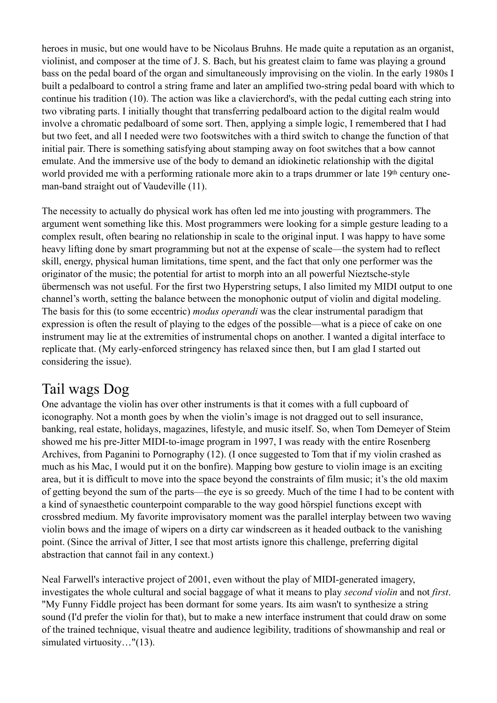heroes in music, but one would have to be Nicolaus Bruhns. He made quite a reputation as an organist, violinist, and composer at the time of J. S. Bach, but his greatest claim to fame was playing a ground bass on the pedal board of the organ and simultaneously improvising on the violin. In the early 1980s I built a pedalboard to control a string frame and later an amplified two-string pedal board with which to continue his tradition (10). The action was like a clavierchord's, with the pedal cutting each string into two vibrating parts. I initially thought that transferring pedalboard action to the digital realm would involve a chromatic pedalboard of some sort. Then, applying a simple logic, I remembered that I had but two feet, and all I needed were two footswitches with a third switch to change the function of that initial pair. There is something satisfying about stamping away on foot switches that a bow cannot emulate. And the immersive use of the body to demand an idiokinetic relationship with the digital world provided me with a performing rationale more akin to a traps drummer or late 19<sup>th</sup> century oneman-band straight out of Vaudeville (11).

The necessity to actually do physical work has often led me into jousting with programmers. The argument went something like this. Most programmers were looking for a simple gesture leading to a complex result, often bearing no relationship in scale to the original input. I was happy to have some heavy lifting done by smart programming but not at the expense of scale—the system had to reflect skill, energy, physical human limitations, time spent, and the fact that only one performer was the originator of the music; the potential for artist to morph into an all powerful Nieztsche-style übermensch was not useful. For the first two Hyperstring setups, I also limited my MIDI output to one channel's worth, setting the balance between the monophonic output of violin and digital modeling. The basis for this (to some eccentric) *modus operandi* was the clear instrumental paradigm that expression is often the result of playing to the edges of the possible—what is a piece of cake on one instrument may lie at the extremities of instrumental chops on another. I wanted a digital interface to replicate that. (My early-enforced stringency has relaxed since then, but I am glad I started out considering the issue).

#### Tail wags Dog

One advantage the violin has over other instruments is that it comes with a full cupboard of iconography. Not a month goes by when the violin's image is not dragged out to sell insurance, banking, real estate, holidays, magazines, lifestyle, and music itself. So, when Tom Demeyer of Steim showed me his pre-Jitter MIDI-to-image program in 1997, I was ready with the entire Rosenberg Archives, from Paganini to Pornography (12). (I once suggested to Tom that if my violin crashed as much as his Mac, I would put it on the bonfire). Mapping bow gesture to violin image is an exciting area, but it is difficult to move into the space beyond the constraints of film music; it's the old maxim of getting beyond the sum of the parts—the eye is so greedy. Much of the time I had to be content with a kind of synaesthetic counterpoint comparable to the way good hörspiel functions except with crossbred medium. My favorite improvisatory moment was the parallel interplay between two waving violin bows and the image of wipers on a dirty car windscreen as it headed outback to the vanishing point. (Since the arrival of Jitter, I see that most artists ignore this challenge, preferring digital abstraction that cannot fail in any context.)

Neal Farwell's interactive project of 2001, even without the play of MIDI-generated imagery, investigates the whole cultural and social baggage of what it means to play *second violin* and not *first*. "My Funny Fiddle project has been dormant for some years. Its aim wasn't to synthesize a string sound (I'd prefer the violin for that), but to make a new interface instrument that could draw on some of the trained technique, visual theatre and audience legibility, traditions of showmanship and real or simulated virtuosity…"(13).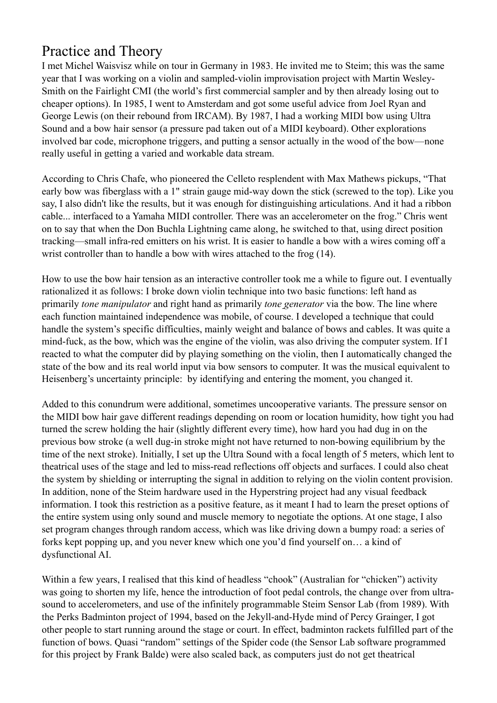## Practice and Theory

I met Michel Waisvisz while on tour in Germany in 1983. He invited me to Steim; this was the same year that I was working on a violin and sampled-violin improvisation project with Martin Wesley-Smith on the Fairlight CMI (the world's first commercial sampler and by then already losing out to cheaper options). In 1985, I went to Amsterdam and got some useful advice from Joel Ryan and George Lewis (on their rebound from IRCAM). By 1987, I had a working MIDI bow using Ultra Sound and a bow hair sensor (a pressure pad taken out of a MIDI keyboard). Other explorations involved bar code, microphone triggers, and putting a sensor actually in the wood of the bow—none really useful in getting a varied and workable data stream.

According to Chris Chafe, who pioneered the Celleto resplendent with Max Mathews pickups, "That early bow was fiberglass with a 1" strain gauge mid-way down the stick (screwed to the top). Like you say, I also didn't like the results, but it was enough for distinguishing articulations. And it had a ribbon cable... interfaced to a Yamaha MIDI controller. There was an accelerometer on the frog." Chris went on to say that when the Don Buchla Lightning came along, he switched to that, using direct position tracking—small infra-red emitters on his wrist. It is easier to handle a bow with a wires coming off a wrist controller than to handle a bow with wires attached to the frog (14).

How to use the bow hair tension as an interactive controller took me a while to figure out. I eventually rationalized it as follows: I broke down violin technique into two basic functions: left hand as primarily *tone manipulator* and right hand as primarily *tone generator* via the bow. The line where each function maintained independence was mobile, of course. I developed a technique that could handle the system's specific difficulties, mainly weight and balance of bows and cables. It was quite a mind-fuck, as the bow, which was the engine of the violin, was also driving the computer system. If I reacted to what the computer did by playing something on the violin, then I automatically changed the state of the bow and its real world input via bow sensors to computer. It was the musical equivalent to Heisenberg's uncertainty principle: by identifying and entering the moment, you changed it.

Added to this conundrum were additional, sometimes uncooperative variants. The pressure sensor on the MIDI bow hair gave different readings depending on room or location humidity, how tight you had turned the screw holding the hair (slightly different every time), how hard you had dug in on the previous bow stroke (a well dug-in stroke might not have returned to non-bowing equilibrium by the time of the next stroke). Initially, I set up the Ultra Sound with a focal length of 5 meters, which lent to theatrical uses of the stage and led to miss-read reflections off objects and surfaces. I could also cheat the system by shielding or interrupting the signal in addition to relying on the violin content provision. In addition, none of the Steim hardware used in the Hyperstring project had any visual feedback information. I took this restriction as a positive feature, as it meant I had to learn the preset options of the entire system using only sound and muscle memory to negotiate the options. At one stage, I also set program changes through random access, which was like driving down a bumpy road: a series of forks kept popping up, and you never knew which one you'd find yourself on… a kind of dysfunctional AI.

Within a few years, I realised that this kind of headless "chook" (Australian for "chicken") activity was going to shorten my life, hence the introduction of foot pedal controls, the change over from ultrasound to accelerometers, and use of the infinitely programmable Steim Sensor Lab (from 1989). With the Perks Badminton project of 1994, based on the Jekyll-and-Hyde mind of Percy Grainger, I got other people to start running around the stage or court. In effect, badminton rackets fulfilled part of the function of bows. Quasi "random" settings of the Spider code (the Sensor Lab software programmed for this project by Frank Balde) were also scaled back, as computers just do not get theatrical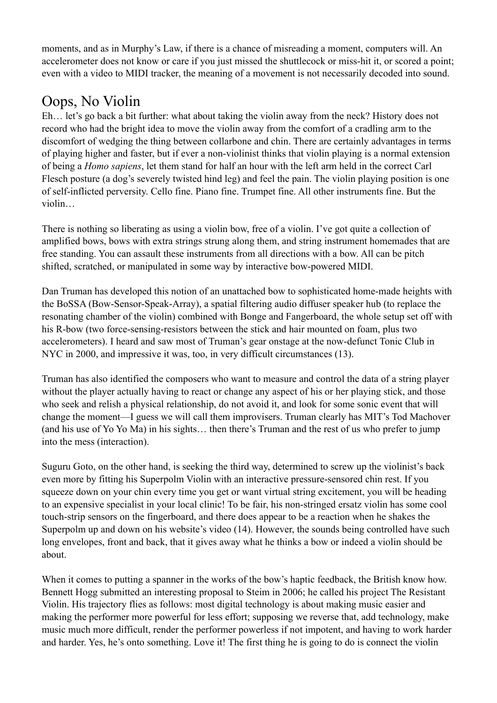moments, and as in Murphy's Law, if there is a chance of misreading a moment, computers will. An accelerometer does not know or care if you just missed the shuttlecock or miss-hit it, or scored a point; even with a video to MIDI tracker, the meaning of a movement is not necessarily decoded into sound.

# Oops, No Violin

Eh… let's go back a bit further: what about taking the violin away from the neck? History does not record who had the bright idea to move the violin away from the comfort of a cradling arm to the discomfort of wedging the thing between collarbone and chin. There are certainly advantages in terms of playing higher and faster, but if ever a non-violinist thinks that violin playing is a normal extension of being a *Homo sapiens*, let them stand for half an hour with the left arm held in the correct Carl Flesch posture (a dog's severely twisted hind leg) and feel the pain. The violin playing position is one of self-inflicted perversity. Cello fine. Piano fine. Trumpet fine. All other instruments fine. But the violin…

There is nothing so liberating as using a violin bow, free of a violin. I've got quite a collection of amplified bows, bows with extra strings strung along them, and string instrument homemades that are free standing. You can assault these instruments from all directions with a bow. All can be pitch shifted, scratched, or manipulated in some way by interactive bow-powered MIDI.

Dan Truman has developed this notion of an unattached bow to sophisticated home-made heights with the BoSSA (Bow-Sensor-Speak-Array), a spatial filtering audio diffuser speaker hub (to replace the resonating chamber of the violin) combined with Bonge and Fangerboard, the whole setup set off with his R-bow (two force-sensing-resistors between the stick and hair mounted on foam, plus two accelerometers). I heard and saw most of Truman's gear onstage at the now-defunct Tonic Club in NYC in 2000, and impressive it was, too, in very difficult circumstances (13).

Truman has also identified the composers who want to measure and control the data of a string player without the player actually having to react or change any aspect of his or her playing stick, and those who seek and relish a physical relationship, do not avoid it, and look for some sonic event that will change the moment—I guess we will call them improvisers. Truman clearly has MIT's Tod Machover (and his use of Yo Yo Ma) in his sights… then there's Truman and the rest of us who prefer to jump into the mess (interaction).

Suguru Goto, on the other hand, is seeking the third way, determined to screw up the violinist's back even more by fitting his Superpolm Violin with an interactive pressure-sensored chin rest. If you squeeze down on your chin every time you get or want virtual string excitement, you will be heading to an expensive specialist in your local clinic! To be fair, his non-stringed ersatz violin has some cool touch-strip sensors on the fingerboard, and there does appear to be a reaction when he shakes the Superpolm up and down on his website's video (14). However, the sounds being controlled have such long envelopes, front and back, that it gives away what he thinks a bow or indeed a violin should be about.

When it comes to putting a spanner in the works of the bow's haptic feedback, the British know how. Bennett Hogg submitted an interesting proposal to Steim in 2006; he called his project The Resistant Violin. His trajectory flies as follows: most digital technology is about making music easier and making the performer more powerful for less effort; supposing we reverse that, add technology, make music much more difficult, render the performer powerless if not impotent, and having to work harder and harder. Yes, he's onto something. Love it! The first thing he is going to do is connect the violin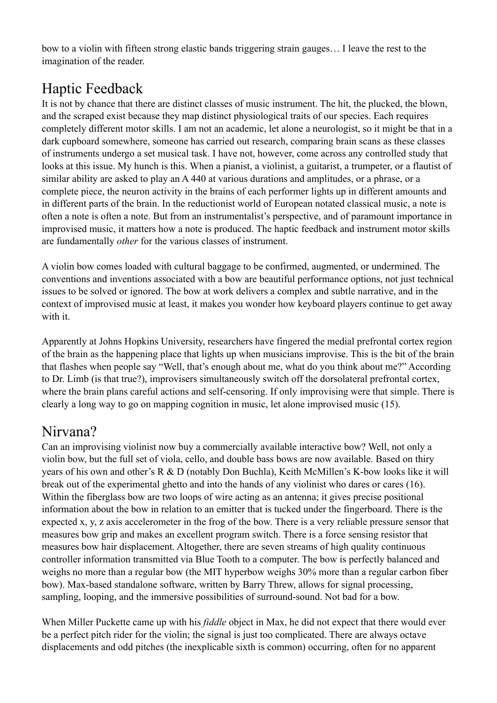bow to a violin with fifteen strong elastic bands triggering strain gauges… I leave the rest to the imagination of the reader.

# Haptic Feedback

It is not by chance that there are distinct classes of music instrument. The hit, the plucked, the blown, and the scraped exist because they map distinct physiological traits of our species. Each requires completely different motor skills. I am not an academic, let alone a neurologist, so it might be that in a dark cupboard somewhere, someone has carried out research, comparing brain scans as these classes of instruments undergo a set musical task. I have not, however, come across any controlled study that looks at this issue. My hunch is this. When a pianist, a violinist, a guitarist, a trumpeter, or a flautist of similar ability are asked to play an A 440 at various durations and amplitudes, or a phrase, or a complete piece, the neuron activity in the brains of each performer lights up in different amounts and in different parts of the brain. In the reductionist world of European notated classical music, a note is often a note is often a note. But from an instrumentalist's perspective, and of paramount importance in improvised music, it matters how a note is produced. The haptic feedback and instrument motor skills are fundamentally *other* for the various classes of instrument.

A violin bow comes loaded with cultural baggage to be confirmed, augmented, or undermined. The conventions and inventions associated with a bow are beautiful performance options, not just technical issues to be solved or ignored. The bow at work delivers a complex and subtle narrative, and in the context of improvised music at least, it makes you wonder how keyboard players continue to get away with it.

Apparently at Johns Hopkins University, researchers have fingered the medial prefrontal cortex region of the brain as the happening place that lights up when musicians improvise. This is the bit of the brain that flashes when people say "Well, that's enough about me, what do you think about me?" According to Dr. Limb (is that true?), improvisers simultaneously switch off the dorsolateral prefrontal cortex, where the brain plans careful actions and self-censoring. If only improvising were that simple. There is clearly a long way to go on mapping cognition in music, let alone improvised music (15).

#### Nirvana?

Can an improvising violinist now buy a commercially available interactive bow? Well, not only a violin bow, but the full set of viola, cello, and double bass bows are now available. Based on thiry years of his own and other's R & D (notably Don Buchla), Keith McMillen's K-bow looks like it will break out of the experimental ghetto and into the hands of any violinist who dares or cares (16). Within the fiberglass bow are two loops of wire acting as an antenna; it gives precise positional information about the bow in relation to an emitter that is tucked under the fingerboard. There is the expected x, y, z axis accelerometer in the frog of the bow. There is a very reliable pressure sensor that measures bow grip and makes an excellent program switch. There is a force sensing resistor that measures bow hair displacement. Altogether, there are seven streams of high quality continuous controller information transmitted via Blue Tooth to a computer. The bow is perfectly balanced and weighs no more than a regular bow (the MIT hyperbow weighs 30% more than a regular carbon fiber bow). Max-based standalone software, written by Barry Threw, allows for signal processing, sampling, looping, and the immersive possibilities of surround-sound. Not bad for a bow.

When Miller Puckette came up with his *fiddle* object in Max, he did not expect that there would ever be a perfect pitch rider for the violin; the signal is just too complicated. There are always octave displacements and odd pitches (the inexplicable sixth is common) occurring, often for no apparent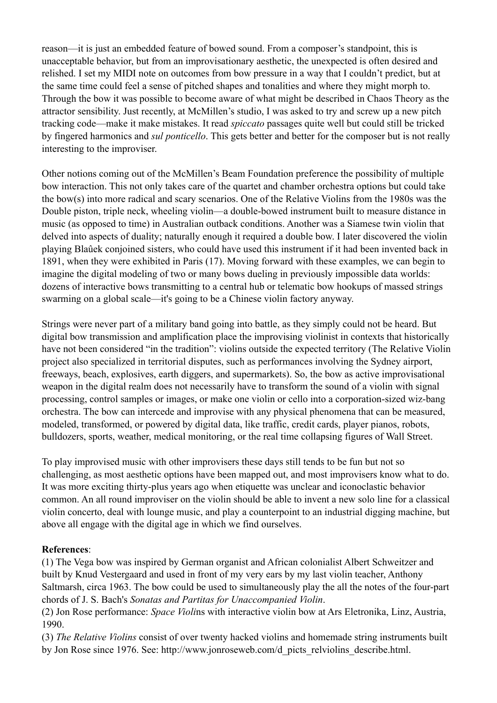reason—it is just an embedded feature of bowed sound. From a composer's standpoint, this is unacceptable behavior, but from an improvisationary aesthetic, the unexpected is often desired and relished. I set my MIDI note on outcomes from bow pressure in a way that I couldn't predict, but at the same time could feel a sense of pitched shapes and tonalities and where they might morph to. Through the bow it was possible to become aware of what might be described in Chaos Theory as the attractor sensibility. Just recently, at McMillen's studio, I was asked to try and screw up a new pitch tracking code—make it make mistakes. It read *spiccato* passages quite well but could still be tricked by fingered harmonics and *sul ponticello*. This gets better and better for the composer but is not really interesting to the improviser.

Other notions coming out of the McMillen's Beam Foundation preference the possibility of multiple bow interaction. This not only takes care of the quartet and chamber orchestra options but could take the bow(s) into more radical and scary scenarios. One of the Relative Violins from the 1980s was the Double piston, triple neck, wheeling violin—a double-bowed instrument built to measure distance in music (as opposed to time) in Australian outback conditions. Another was a Siamese twin violin that delved into aspects of duality; naturally enough it required a double bow. I later discovered the violin playing Blaûek conjoined sisters, who could have used this instrument if it had been invented back in 1891, when they were exhibited in Paris (17). Moving forward with these examples, we can begin to imagine the digital modeling of two or many bows dueling in previously impossible data worlds: dozens of interactive bows transmitting to a central hub or telematic bow hookups of massed strings swarming on a global scale—it's going to be a Chinese violin factory anyway.

Strings were never part of a military band going into battle, as they simply could not be heard. But digital bow transmission and amplification place the improvising violinist in contexts that historically have not been considered "in the tradition": violins outside the expected territory (The Relative Violin project also specialized in territorial disputes, such as performances involving the Sydney airport, freeways, beach, explosives, earth diggers, and supermarkets). So, the bow as active improvisational weapon in the digital realm does not necessarily have to transform the sound of a violin with signal processing, control samples or images, or make one violin or cello into a corporation-sized wiz-bang orchestra. The bow can intercede and improvise with any physical phenomena that can be measured, modeled, transformed, or powered by digital data, like traffic, credit cards, player pianos, robots, bulldozers, sports, weather, medical monitoring, or the real time collapsing figures of Wall Street.

To play improvised music with other improvisers these days still tends to be fun but not so challenging, as most aesthetic options have been mapped out, and most improvisers know what to do. It was more exciting thirty-plus years ago when etiquette was unclear and iconoclastic behavior common. An all round improviser on the violin should be able to invent a new solo line for a classical violin concerto, deal with lounge music, and play a counterpoint to an industrial digging machine, but above all engage with the digital age in which we find ourselves.

#### **References**:

(1) The Vega bow was inspired by German organist and African colonialist Albert Schweitzer and built by Knud Vestergaard and used in front of my very ears by my last violin teacher, Anthony Saltmarsh, circa 1963. The bow could be used to simultaneously play the all the notes of the four-part chords of J. S. Bach's *Sonatas and Partitas for Unaccompanied Violin*.

(2) Jon Rose performance: *Space Violi*ns with interactive violin bow at Ars Eletronika, Linz, Austria, 1990.

(3) *The Relative Violins* consist of over twenty hacked violins and homemade string instruments built by Jon Rose since 1976. See: http://www.jonroseweb.com/d\_picts\_relviolins\_describe.html.